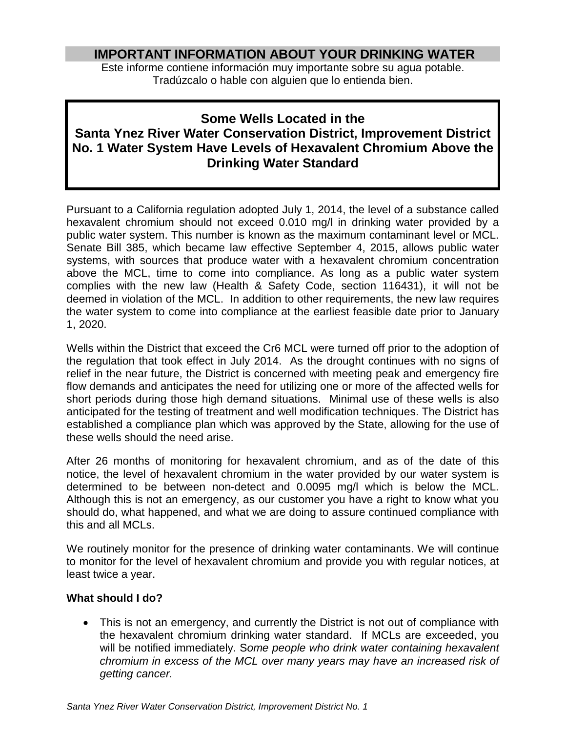## **IMPORTANT INFORMATION ABOUT YOUR DRINKING WATER**

Este informe contiene información muy importante sobre su agua potable. Tradúzcalo o hable con alguien que lo entienda bien.

## **Some Wells Located in the**

# **Santa Ynez River Water Conservation District, Improvement District No. 1 Water System Have Levels of Hexavalent Chromium Above the Drinking Water Standard**

Pursuant to a California regulation adopted July 1, 2014, the level of a substance called hexavalent chromium should not exceed 0.010 mg/l in drinking water provided by a public water system. This number is known as the maximum contaminant level or MCL. Senate Bill 385, which became law effective September 4, 2015, allows public water systems, with sources that produce water with a hexavalent chromium concentration above the MCL, time to come into compliance. As long as a public water system complies with the new law (Health & Safety Code, section 116431), it will not be deemed in violation of the MCL. In addition to other requirements, the new law requires the water system to come into compliance at the earliest feasible date prior to January 1, 2020.

Wells within the District that exceed the Cr6 MCL were turned off prior to the adoption of the regulation that took effect in July 2014. As the drought continues with no signs of relief in the near future, the District is concerned with meeting peak and emergency fire flow demands and anticipates the need for utilizing one or more of the affected wells for short periods during those high demand situations. Minimal use of these wells is also anticipated for the testing of treatment and well modification techniques. The District has established a compliance plan which was approved by the State, allowing for the use of these wells should the need arise.

After 26 months of monitoring for hexavalent chromium, and as of the date of this notice, the level of hexavalent chromium in the water provided by our water system is determined to be between non-detect and 0.0095 mg/l which is below the MCL. Although this is not an emergency, as our customer you have a right to know what you should do, what happened, and what we are doing to assure continued compliance with this and all MCLs.

We routinely monitor for the presence of drinking water contaminants. We will continue to monitor for the level of hexavalent chromium and provide you with regular notices, at least twice a year.

### **What should I do?**

• This is not an emergency, and currently the District is not out of compliance with the hexavalent chromium drinking water standard. If MCLs are exceeded, you will be notified immediately. S*ome people who drink water containing hexavalent chromium in excess of the MCL over many years may have an increased risk of getting cancer.*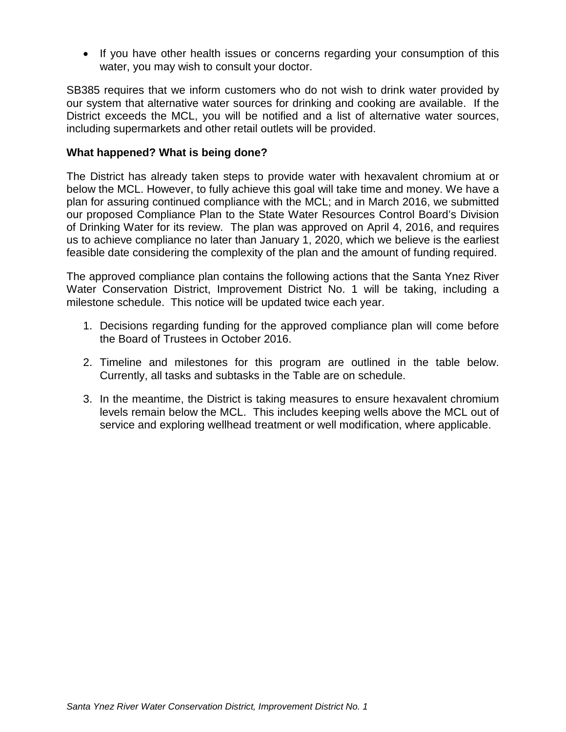• If you have other health issues or concerns regarding your consumption of this water, you may wish to consult your doctor.

SB385 requires that we inform customers who do not wish to drink water provided by our system that alternative water sources for drinking and cooking are available. If the District exceeds the MCL, you will be notified and a list of alternative water sources, including supermarkets and other retail outlets will be provided.

#### **What happened? What is being done?**

The District has already taken steps to provide water with hexavalent chromium at or below the MCL. However, to fully achieve this goal will take time and money. We have a plan for assuring continued compliance with the MCL; and in March 2016, we submitted our proposed Compliance Plan to the State Water Resources Control Board's Division of Drinking Water for its review. The plan was approved on April 4, 2016, and requires us to achieve compliance no later than January 1, 2020, which we believe is the earliest feasible date considering the complexity of the plan and the amount of funding required.

The approved compliance plan contains the following actions that the Santa Ynez River Water Conservation District, Improvement District No. 1 will be taking, including a milestone schedule. This notice will be updated twice each year.

- 1. Decisions regarding funding for the approved compliance plan will come before the Board of Trustees in October 2016.
- 2. Timeline and milestones for this program are outlined in the table below. Currently, all tasks and subtasks in the Table are on schedule.
- 3. In the meantime, the District is taking measures to ensure hexavalent chromium levels remain below the MCL. This includes keeping wells above the MCL out of service and exploring wellhead treatment or well modification, where applicable.